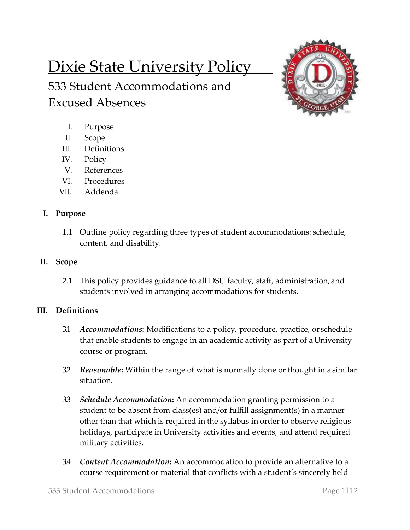# Dixie State University Policy

533 Student Accommodations and Excused Absences



- I. Purpose
- II. Scope
- III. Definitions
- IV. Policy
- V. References
- VI. Procedures
- VII. Addenda

## **I. Purpose**

1.1 Outline policy regarding three types of student accommodations: schedule, content, and disability.

## **II. Scope**

2.1 This policy provides guidance to all DSU faculty, staff, administration, and students involved in arranging accommodations for students.

## **III. Definitions**

- 3.1 *Accommodations***:** Modifications to a policy, procedure, practice, or schedule that enable students to engage in an academic activity as part of a University course or program.
- 3.2 *Reasonable***:** Within the range of what is normally done or thought in a similar situation.
- 3.3 *Schedule Accommodation***:** An accommodation granting permission to a student to be absent from class(es) and/or fulfill assignment(s) in a manner other than that which is required in the syllabus in order to observe religious holidays, participate in University activities and events, and attend required military activities.
- 3.4 *Content Accommodation***:** An accommodation to provide an alternative to a course requirement or material that conflicts with a student's sincerely held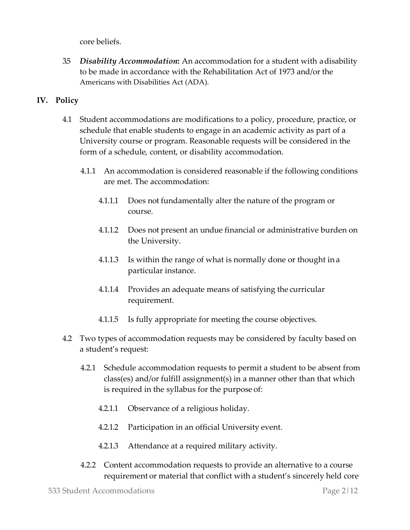core beliefs.

3.5 *Disability Accommodation***:** An accommodation for a student with adisability to be made in accordance with the Rehabilitation Act of 1973 and/or the Americans with Disabilities Act (ADA).

### **IV. Policy**

- 4.1 Student accommodations are modifications to a policy, procedure, practice, or schedule that enable students to engage in an academic activity as part of a University course or program. Reasonable requests will be considered in the form of a schedule, content, or disability accommodation.
	- 4.1.1 An accommodation is considered reasonable if the following conditions are met. The accommodation:
		- 4.1.1.1 Does not fundamentally alter the nature of the program or course.
		- 4.1.1.2 Does not present an undue financial or administrative burden on the University.
		- 4.1.1.3 Is within the range of what is normally done or thought in a particular instance.
		- 4.1.1.4 Provides an adequate means of satisfying the curricular requirement.
		- 4.1.1.5 Is fully appropriate for meeting the course objectives.
- 4.2 Two types of accommodation requests may be considered by faculty based on a student's request:
	- 4.2.1 Schedule accommodation requests to permit a student to be absent from class(es) and/or fulfill assignment(s) in a manner other than that which is required in the syllabus for the purpose of:
		- 4.2.1.1 Observance of a religious holiday.
		- 4.2.1.2 Participation in an official University event.
		- 4.2.1.3 Attendance at a required military activity.
	- 4.2.2 Content accommodation requests to provide an alternative to a course requirement or material that conflict with a student's sincerely held core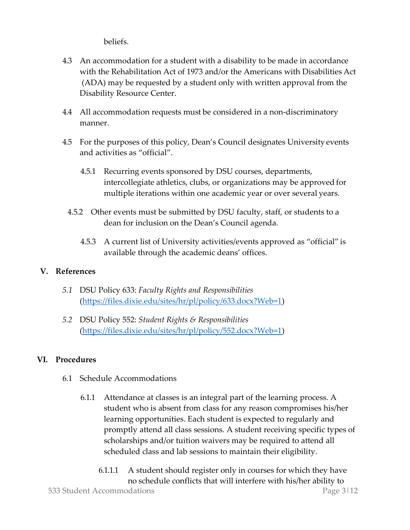beliefs.

- 4.3 An accommodation for a student with a disability to be made in accordance with the Rehabilitation Act of 1973 and/or the Americans with Disabilities Act (ADA) may be requested by a student only with written approval from the Disability Resource Center.
- 4.4 All accommodation requests must be considered in a non-discriminatory manner.
- 4.5 For the purposes of this policy, Dean's Council designates University events and activities as "official".
	- 4.5.1 Recurring events sponsored by DSU courses, departments, intercollegiate athletics, clubs, or organizations may be approved for multiple iterations within one academic year or over several years.
	- 4.5.2 Other events must be submitted by DSU faculty, staff, or students to a dean for inclusion on the Dean's Council agenda.
		- 4.5.3 A current list of University activities/events approved as "official" is available through the academic deans' offices.

### **V. References**

- *5.1* DSU Policy 633: *Faculty Rights and Responsibilities* [\(https://files.dixie.edu/sites/hr/pl/policy/633.docx?Web=1\)](https://files.dixie.edu/sites/hr/pl/policy/633.docx?Web=1)
- *5.2* DSU Policy 552: *Student Rights & Responsibilities* [\(https://files.dixie.edu/sites/hr/pl/policy/552.docx?Web=1\)](https://files.dixie.edu/sites/hr/pl/policy/552.docx?Web=1)

## **VI. Procedures**

- 6.1 Schedule Accommodations
	- 6.1.1 Attendance at classes is an integral part of the learning process. A student who is absent from class for any reason compromises his/her learning opportunities. Each student is expected to regularly and promptly attend all class sessions. A student receiving specific types of scholarships and/or tuition waivers may be required to attend all scheduled class and lab sessions to maintain their eligibility.
- 533 Student Accommodations Page 3|12 6.1.1.1 A student should register only in courses for which they have no schedule conflicts that will interfere with his/her ability to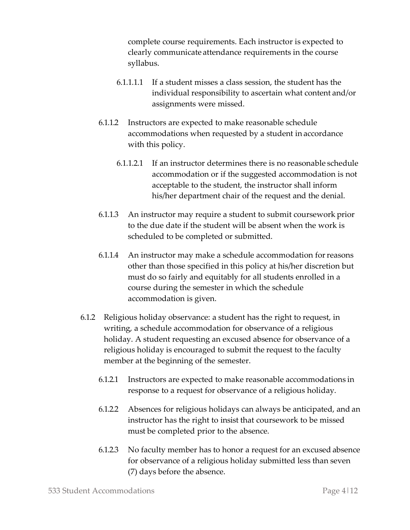complete course requirements. Each instructor is expected to clearly communicate attendance requirements in the course syllabus.

- 6.1.1.1.1 If a student misses a class session, the student has the individual responsibility to ascertain what content and/or assignments were missed.
- 6.1.1.2 Instructors are expected to make reasonable schedule accommodations when requested by a student in accordance with this policy.
	- 6.1.1.2.1 If an instructor determines there is no reasonable schedule accommodation or if the suggested accommodation is not acceptable to the student, the instructor shall inform his/her department chair of the request and the denial.
- 6.1.1.3 An instructor may require a student to submit coursework prior to the due date if the student will be absent when the work is scheduled to be completed or submitted.
- 6.1.1.4 An instructor may make a schedule accommodation forreasons other than those specified in this policy at his/her discretion but must do so fairly and equitably for all students enrolled in a course during the semester in which the schedule accommodation is given.
- 6.1.2 Religious holiday observance: a student has the right to request, in writing, a schedule accommodation for observance of a religious holiday. A student requesting an excused absence for observance of a religious holiday is encouraged to submit the request to the faculty member at the beginning of the semester.
	- 6.1.2.1 Instructors are expected to make reasonable accommodations in response to a request for observance of a religious holiday.
	- 6.1.2.2 Absences for religious holidays can always be anticipated, and an instructor has the right to insist that coursework to be missed must be completed prior to the absence.
	- 6.1.2.3 No faculty member has to honor a request for an excused absence for observance of a religious holiday submitted less than seven (7) days before the absence.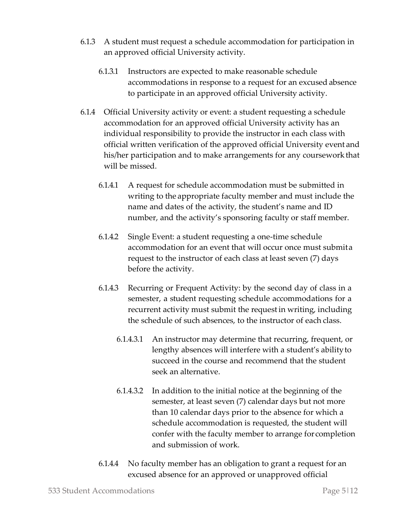- 6.1.3 A student must request a schedule accommodation for participation in an approved official University activity.
	- 6.1.3.1 Instructors are expected to make reasonable schedule accommodations in response to a request for an excused absence to participate in an approved official University activity.
- 6.1.4 Official University activity or event: a student requesting a schedule accommodation for an approved official University activity has an individual responsibility to provide the instructor in each class with official written verification of the approved official University event and his/her participation and to make arrangements for any courseworkthat will be missed.
	- 6.1.4.1 A request for schedule accommodation must be submitted in writing to the appropriate faculty member and must include the name and dates of the activity, the student's name and ID number, and the activity's sponsoring faculty or staff member.
	- 6.1.4.2 Single Event: a student requesting a one-time schedule accommodation for an event that will occur once must submita request to the instructor of each class at least seven (7) days before the activity.
	- 6.1.4.3 Recurring or Frequent Activity: by the second day of class in a semester, a student requesting schedule accommodations for a recurrent activity must submit the requestin writing, including the schedule of such absences, to the instructor of each class.
		- 6.1.4.3.1 An instructor may determine that recurring, frequent, or lengthy absences will interfere with a student's abilityto succeed in the course and recommend that the student seek an alternative.
		- 6.1.4.3.2 In addition to the initial notice at the beginning of the semester, at least seven (7) calendar days but not more than 10 calendar days prior to the absence for which a schedule accommodation is requested, the student will confer with the faculty member to arrange forcompletion and submission of work.
	- 6.1.4.4 No faculty member has an obligation to grant a request for an excused absence for an approved or unapproved official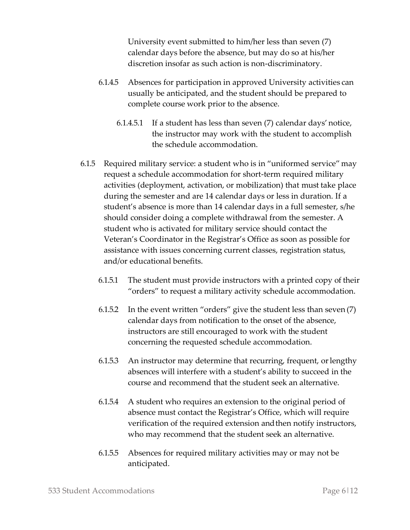University event submitted to him/her less than seven (7) calendar days before the absence, but may do so at his/her discretion insofar as such action is non-discriminatory.

- 6.1.4.5 Absences for participation in approved University activities can usually be anticipated, and the student should be prepared to complete course work prior to the absence.
	- 6.1.4.5.1 If a student has less than seven (7) calendar days' notice, the instructor may work with the student to accomplish the schedule accommodation.
- 6.1.5 Required military service: a student who is in "uniformed service" may request a schedule accommodation for short-term required military activities (deployment, activation, or mobilization) that must take place during the semester and are 14 calendar days or less in duration. If a student's absence is more than 14 calendar days in a full semester, s/he should consider doing a complete withdrawal from the semester. A student who is activated for military service should contact the Veteran's Coordinator in the Registrar's Office as soon as possible for assistance with issues concerning current classes, registration status, and/or educational benefits.
	- 6.1.5.1 The student must provide instructors with a printed copy of their "orders" to request a military activity schedule accommodation.
	- 6.1.5.2 In the event written "orders" give the student less than seven (7) calendar days from notification to the onset of the absence, instructors are still encouraged to work with the student concerning the requested schedule accommodation.
	- 6.1.5.3 An instructor may determine that recurring, frequent, orlengthy absences will interfere with a student's ability to succeed in the course and recommend that the student seek an alternative.
	- 6.1.5.4 A student who requires an extension to the original period of absence must contact the Registrar's Office, which will require verification of the required extension and then notify instructors, who may recommend that the student seek an alternative.
	- 6.1.5.5 Absences for required military activities may or may not be anticipated.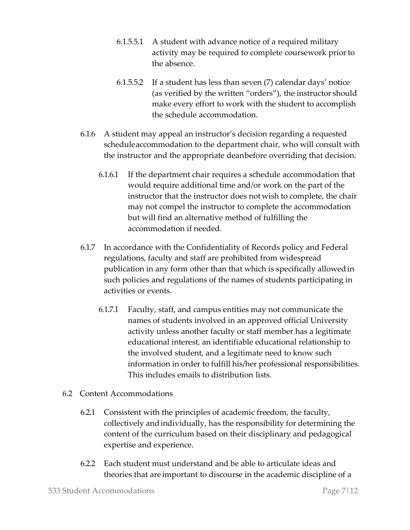- 6.1.5.5.1 A student with advance notice of a required military activity may be required to complete coursework priorto the absence.
- 6.1.5.5.2 If a student has less than seven (7) calendar days' notice (as verified by the written "orders"), the instructor should make every effort to work with the student to accomplish the schedule accommodation.
- 6.1.6 A student may appeal an instructor's decision regarding a requested scheduleaccommodation to the department chair, who will consult with the instructor and the appropriate deanbefore overriding that decision.
	- 6.1.6.1 If the department chair requires a schedule accommodation that would require additional time and/or work on the part of the instructor that the instructor does not wish to complete, the chair may not compel the instructor to complete the accommodation but will find an alternative method of fulfilling the accommodation if needed.
- 6.1.7 In accordance with the Confidentiality of Records policy and Federal regulations, faculty and staff are prohibited from widespread publication in any form other than that which is specifically allowedin such policies and regulations of the names of students participating in activities or events.
	- 6.1.7.1 Faculty, staff, and campus entities may not communicate the names of students involved in an approved official University activity unless another faculty or staff member has a legitimate educational interest, an identifiable educational relationship to the involved student, and a legitimate need to know such information in order to fulfill his/her professional responsibilities. This includes emails to distribution lists.
- 6.2 Content Accommodations
	- 6.2.1 Consistent with the principles of academic freedom, the faculty, collectively andindividually, has the responsibility for determining the content of the curriculum based on their disciplinary and pedagogical expertise and experience.
	- 6.2.2 Each student must understand and be able to articulate ideas and theories that are important to discourse in the academic discipline of a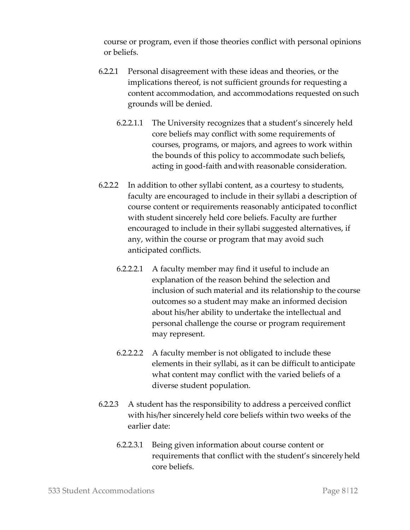course or program, even if those theories conflict with personal opinions or beliefs.

- 6.2.2.1 Personal disagreement with these ideas and theories, or the implications thereof, is not sufficient grounds for requesting a content accommodation, and accommodations requested onsuch grounds will be denied.
	- 6.2.2.1.1 The University recognizes that a student's sincerely held core beliefs may conflict with some requirements of courses, programs, or majors, and agrees to work within the bounds of this policy to accommodate such beliefs, acting in good-faith andwith reasonable consideration.
- 6.2.2.2 In addition to other syllabi content, as a courtesy to students, faculty are encouraged to include in their syllabi a description of course content or requirements reasonably anticipated toconflict with student sincerely held core beliefs. Faculty are further encouraged to include in their syllabi suggested alternatives, if any, within the course or program that may avoid such anticipated conflicts.
	- 6.2.2.2.1 A faculty member may find it useful to include an explanation of the reason behind the selection and inclusion of such material and its relationship to the course outcomes so a student may make an informed decision about his/her ability to undertake the intellectual and personal challenge the course or program requirement may represent.
	- 6.2.2.2.2 A faculty member is not obligated to include these elements in their syllabi, as it can be difficult to anticipate what content may conflict with the varied beliefs of a diverse student population.
- 6.2.2.3 A student has the responsibility to address a perceived conflict with his/her sincerely held core beliefs within two weeks of the earlier date:
	- 6.2.2.3.1 Being given information about course content or requirements that conflict with the student's sincerelyheld core beliefs.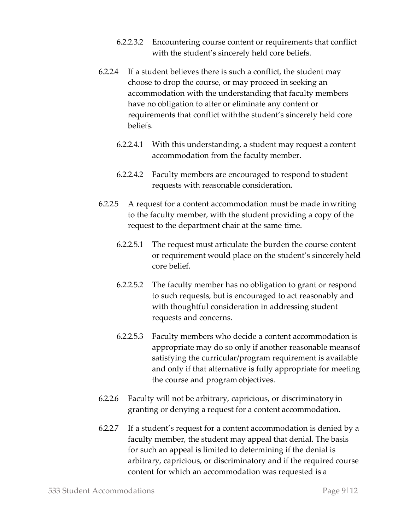- 6.2.2.3.2 Encountering course content or requirements that conflict with the student's sincerely held core beliefs.
- 6.2.2.4 If a student believes there is such a conflict, the student may choose to drop the course, or may proceed in seeking an accommodation with the understanding that faculty members have no obligation to alter or eliminate any content or requirements that conflict withthe student's sincerely held core beliefs.
	- 6.2.2.4.1 With this understanding, a student may request a content accommodation from the faculty member.
	- 6.2.2.4.2 Faculty members are encouraged to respond to student requests with reasonable consideration.
- 6.2.2.5 A request for a content accommodation must be made inwriting to the faculty member, with the student providing a copy of the request to the department chair at the same time.
	- 6.2.2.5.1 The request must articulate the burden the course content or requirement would place on the student's sincerely held core belief.
	- 6.2.2.5.2 The faculty member has no obligation to grant or respond to such requests, but is encouraged to act reasonably and with thoughtful consideration in addressing student requests and concerns.
	- 6.2.2.5.3 Faculty members who decide a content accommodation is appropriate may do so only if another reasonable meansof satisfying the curricular/program requirement is available and only if that alternative is fully appropriate for meeting the course and program objectives.
- 6.2.2.6 Faculty will not be arbitrary, capricious, or discriminatory in granting or denying a request for a content accommodation.
- 6.2.2.7 If a student's request for a content accommodation is denied by a faculty member, the student may appeal that denial. The basis for such an appeal is limited to determining if the denial is arbitrary, capricious, or discriminatory and if the required course content for which an accommodation was requested is a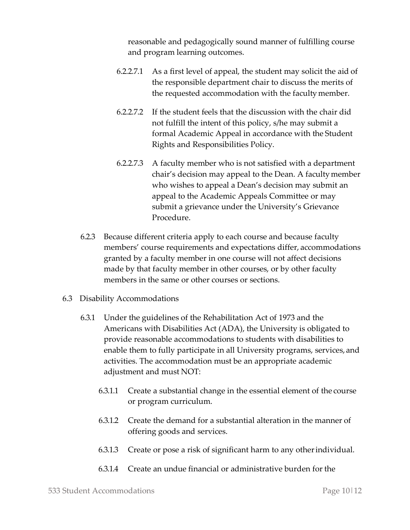reasonable and pedagogically sound manner of fulfilling course and program learning outcomes.

- 6.2.2.7.1 As a first level of appeal, the student may solicit the aid of the responsible department chair to discuss the merits of the requested accommodation with the facultymember.
- 6.2.2.7.2 If the student feels that the discussion with the chair did not fulfill the intent of this policy, s/he may submit a formal Academic Appeal in accordance with the Student Rights and Responsibilities Policy.
- 6.2.2.7.3 A faculty member who is not satisfied with a department chair's decision may appeal to the Dean. A facultymember who wishes to appeal a Dean's decision may submit an appeal to the Academic Appeals Committee or may submit a grievance under the University's Grievance Procedure.
- 6.2.3 Because different criteria apply to each course and because faculty members' course requirements and expectations differ, accommodations granted by a faculty member in one course will not affect decisions made by that faculty member in other courses, or by other faculty members in the same or other courses or sections.
- 6.3 Disability Accommodations
	- 6.3.1 Under the guidelines of the Rehabilitation Act of 1973 and the Americans with Disabilities Act (ADA), the University is obligated to provide reasonable accommodations to students with disabilities to enable them to fully participate in all University programs, services, and activities. The accommodation must be an appropriate academic adjustment and must NOT:
		- 6.3.1.1 Create a substantial change in the essential element of the course or program curriculum.
		- 6.3.1.2 Create the demand for a substantial alteration in the manner of offering goods and services.
		- 6.3.1.3 Create or pose a risk of significant harm to any otherindividual.
		- 6.3.1.4 Create an undue financial or administrative burden for the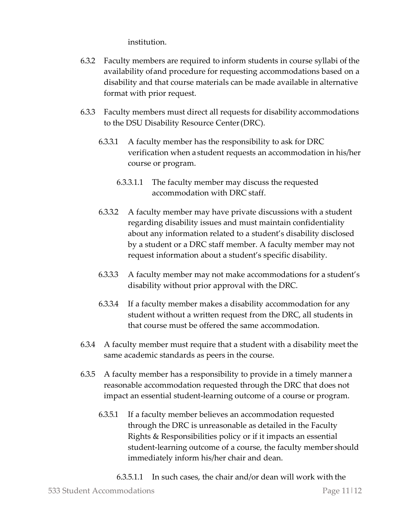institution.

- 6.3.2 Faculty members are required to inform students in course syllabi of the availability ofand procedure for requesting accommodations based on a disability and that course materials can be made available in alternative format with prior request.
- 6.3.3 Faculty members must direct all requests for disability accommodations to the DSU Disability Resource Center(DRC).
	- 6.3.3.1 A faculty member has the responsibility to ask for DRC verification when a student requests an accommodation in his/her course or program.
		- 6.3.3.1.1 The faculty member may discuss the requested accommodation with DRC staff.
	- 6.3.3.2 A faculty member may have private discussions with a student regarding disability issues and must maintain confidentiality about any information related to a student's disability disclosed by a student or a DRC staff member. A faculty member may not request information about a student's specific disability.
	- 6.3.3.3 A faculty member may not make accommodations for a student's disability without prior approval with the DRC.
	- 6.3.3.4 If a faculty member makes a disability accommodation for any student without a written request from the DRC, all students in that course must be offered the same accommodation.
- 6.3.4 A faculty member must require that a student with a disability meet the same academic standards as peers in the course.
- 6.3.5 A faculty member has a responsibility to provide in a timely manner a reasonable accommodation requested through the DRC that does not impact an essential student-learning outcome of a course or program.
	- 6.3.5.1 If a faculty member believes an accommodation requested through the DRC is unreasonable as detailed in the Faculty Rights & Responsibilities policy or if it impacts an essential student-learning outcome of a course, the faculty member should immediately inform his/her chair and dean.
		- 6.3.5.1.1 In such cases, the chair and/or dean will work with the